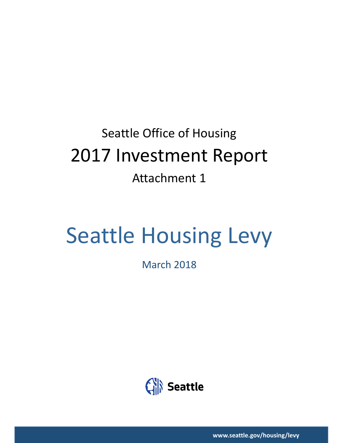## Seattle Office of Housing 2017 Investment Report Attachment 1

# Seattle Housing Levy

March 2018



**www.seattle.gov/housing/levy**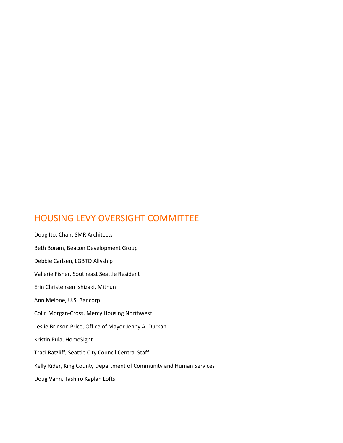### HOUSING LEVY OVERSIGHT COMMITTEE

Doug Ito, Chair, SMR Architects Beth Boram, Beacon Development Group Debbie Carlsen, LGBTQ Allyship Vallerie Fisher, Southeast Seattle Resident Erin Christensen Ishizaki, Mithun Ann Melone, U.S. Bancorp Colin Morgan-Cross, Mercy Housing Northwest Leslie Brinson Price, Office of Mayor Jenny A. Durkan Kristin Pula, HomeSight Traci Ratzliff, Seattle City Council Central Staff Kelly Rider, King County Department of Community and Human Services Doug Vann, Tashiro Kaplan Lofts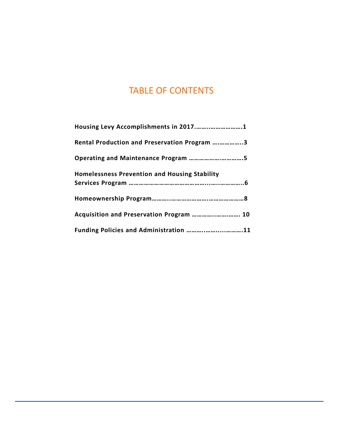## TABLE OF CONTENTS

| Rental Production and Preservation Program 3         |  |
|------------------------------------------------------|--|
| Operating and Maintenance Program 5                  |  |
| <b>Homelessness Prevention and Housing Stability</b> |  |
|                                                      |  |
|                                                      |  |
| Acquisition and Preservation Program  10             |  |
| Funding Policies and Administration 11               |  |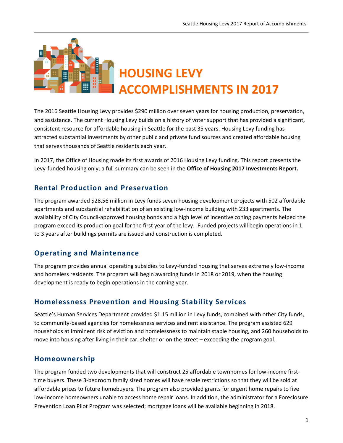

The 2016 Seattle Housing Levy provides \$290 million over seven years for housing production, preservation, and assistance. The current Housing Levy builds on a history of voter support that has provided a significant, consistent resource for affordable housing in Seattle for the past 35 years. Housing Levy funding has attracted substantial investments by other public and private fund sources and created affordable housing that serves thousands of Seattle residents each year.

In 2017, the Office of Housing made its first awards of 2016 Housing Levy funding. This report presents the Levy-funded housing only; a full summary can be seen in the **Office of Housing 2017 Investments Report.**

#### **Rental Production and Preservation**

The program awarded \$28.56 million in Levy funds seven housing development projects with 502 affordable apartments and substantial rehabilitation of an existing low-income building with 233 apartments. The availability of City Council-approved housing bonds and a high level of incentive zoning payments helped the program exceed its production goal for the first year of the levy. Funded projects will begin operations in 1 to 3 years after buildings permits are issued and construction is completed.

#### **Operating and Maintenance**

The program provides annual operating subsidies to Levy-funded housing that serves extremely low-income and homeless residents. The program will begin awarding funds in 2018 or 2019, when the housing development is ready to begin operations in the coming year.

#### **Homelessness Prevention and Housing Stability Services**

Seattle's Human Services Department provided \$1.15 million in Levy funds, combined with other City funds, to community-based agencies for homelessness services and rent assistance. The program assisted 629 households at imminent risk of eviction and homelessness to maintain stable housing, and 260 households to move into housing after living in their car, shelter or on the street – exceeding the program goal.

#### **Homeownership**

The program funded two developments that will construct 25 affordable townhomes for low-income firsttime buyers. These 3-bedroom family sized homes will have resale restrictions so that they will be sold at affordable prices to future homebuyers. The program also provided grants for urgent home repairs to five low-income homeowners unable to access home repair loans. In addition, the administrator for a Foreclosure Prevention Loan Pilot Program was selected; mortgage loans will be available beginning in 2018.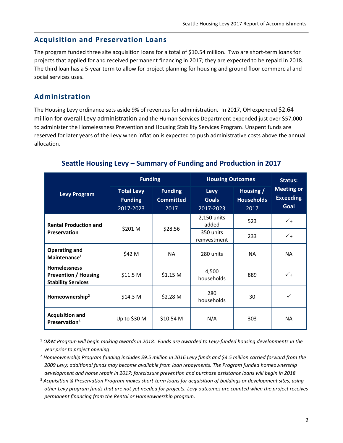#### **Acquisition and Preservation Loans**

The program funded three site acquisition loans for a total of \$10.54 million. Two are short-term loans for projects that applied for and received permanent financing in 2017; they are expected to be repaid in 2018. The third loan has a 5-year term to allow for project planning for housing and ground floor commercial and social services uses.

#### **Administration**

The Housing Levy ordinance sets aside 9% of revenues for administration. In 2017, OH expended \$2.64 million for overall Levy administration and the Human Services Department expended just over \$57,000 to administer the Homelessness Prevention and Housing Stability Services Program. Unspent funds are reserved for later years of the Levy when inflation is expected to push administrative costs above the annual allocation.

|                                                                                 | <b>Funding</b>                                   |                                            | <b>Housing Outcomes</b>           | Status:                                |                                               |  |
|---------------------------------------------------------------------------------|--------------------------------------------------|--------------------------------------------|-----------------------------------|----------------------------------------|-----------------------------------------------|--|
| <b>Levy Program</b>                                                             | <b>Total Levy</b><br><b>Funding</b><br>2017-2023 | <b>Funding</b><br><b>Committed</b><br>2017 | Levy<br><b>Goals</b><br>2017-2023 | Housing /<br><b>Households</b><br>2017 | <b>Meeting or</b><br><b>Exceeding</b><br>Goal |  |
| <b>Rental Production and</b>                                                    |                                                  |                                            | 2,150 units<br>added              | 523                                    | $\sqrt{+}$                                    |  |
| Preservation                                                                    | \$201 M                                          | \$28.56                                    | 350 units<br>reinvestment         | 233                                    | $\sqrt{+}$                                    |  |
| <b>Operating and</b><br>Maintenance <sup>1</sup>                                | \$42 M                                           | <b>NA</b>                                  | 280 units                         | <b>NA</b>                              | <b>NA</b>                                     |  |
| <b>Homelessness</b><br><b>Prevention / Housing</b><br><b>Stability Services</b> | \$11.5 <sub>M</sub>                              | $$1.15$ M                                  | 4,500<br>households               | 889                                    | $\sqrt{+}$                                    |  |
| Homeownership <sup>2</sup>                                                      | \$14.3 <sub>M</sub>                              | \$2.28 M                                   | 280<br>households                 | 30                                     |                                               |  |
| <b>Acquisition and</b><br>Preservation <sup>3</sup>                             | Up to \$30 $M$                                   | \$10.54 <sub>M</sub>                       | N/A                               | 303                                    | <b>NA</b>                                     |  |

#### **Seattle Housing Levy – Summary of Funding and Production in 2017**

<sup>1</sup> *O&M Program will begin making awards in 2018. Funds are awarded to Levy-funded housing developments in the year prior to project opening*.

- <sup>2</sup> *Homeownership Program funding includes \$9.5 million in 2016 Levy funds and \$4.5 million carried forward from the 2009 Levy; additional funds may become available from loan repayments. The Program funded homeownership development and home repair in 2017; foreclosure prevention and purchase assistance loans will begin in 2018.*
- <sup>3</sup> *Acquisition & Preservation Program makes short-term loans for acquisition of buildings or development sites, using other Levy program funds that are not yet needed for projects. Levy outcomes are counted when the project receives permanent financing from the Rental or Homeownership program.*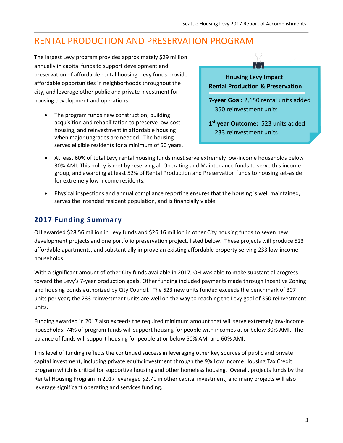## RENTAL PRODUCTION AND PRESERVATION PROGRAM

The largest Levy program provides approximately \$29 million annually in capital funds to support development and preservation of affordable rental housing. Levy funds provide affordable opportunities in neighborhoods throughout the city, and leverage other public and private investment for housing development and operations.

• The program funds new construction, building acquisition and rehabilitation to preserve low-cost housing, and reinvestment in affordable housing when major upgrades are needed. The housing serves eligible residents for a minimum of 50 years.



- At least 60% of total Levy rental housing funds must serve extremely low-income households below 30% AMI. This policy is met by reserving all Operating and Maintenance funds to serve this income group, and awarding at least 52% of Rental Production and Preservation funds to housing set-aside for extremely low income residents.
- Physical inspections and annual compliance reporting ensures that the housing is well maintained, serves the intended resident population, and is financially viable.

#### **2017 Funding Summary**

OH awarded \$28.56 million in Levy funds and \$26.16 million in other City housing funds to seven new development projects and one portfolio preservation project, listed below. These projects will produce 523 affordable apartments, and substantially improve an existing affordable property serving 233 low-income households.

With a significant amount of other City funds available in 2017, OH was able to make substantial progress toward the Levy's 7-year production goals. Other funding included payments made through Incentive Zoning and housing bonds authorized by City Council. The 523 new units funded exceeds the benchmark of 307 units per year; the 233 reinvestment units are well on the way to reaching the Levy goal of 350 reinvestment units.

Funding awarded in 2017 also exceeds the required minimum amount that will serve extremely low-income households: 74% of program funds will support housing for people with incomes at or below 30% AMI. The balance of funds will support housing for people at or below 50% AMI and 60% AMI.

This level of funding reflects the continued success in leveraging other key sources of public and private capital investment, including private equity investment through the 9% Low Income Housing Tax Credit program which is critical for supportive housing and other homeless housing. Overall, projects funds by the Rental Housing Program in 2017 leveraged \$2.71 in other capital investment, and many projects will also leverage significant operating and services funding.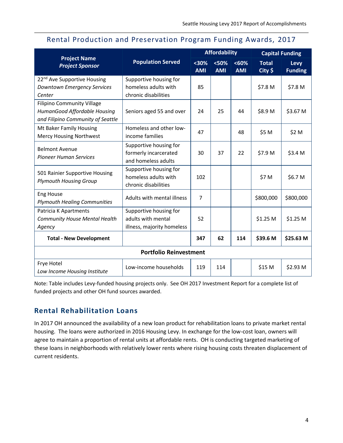|  |  |  | Rental Production and Preservation Program Funding Awards, 2017 |  |  |  |  |
|--|--|--|-----------------------------------------------------------------|--|--|--|--|
|--|--|--|-----------------------------------------------------------------|--|--|--|--|

|                                                                                                        |                                                                            | <b>Affordability</b> |                    |                     | <b>Capital Funding</b>    |                        |
|--------------------------------------------------------------------------------------------------------|----------------------------------------------------------------------------|----------------------|--------------------|---------------------|---------------------------|------------------------|
| <b>Project Name</b><br><b>Project Sponsor</b>                                                          | <b>Population Served</b>                                                   | $30%$<br><b>AMI</b>  | <50%<br><b>AMI</b> | < 60%<br><b>AMI</b> | <b>Total</b><br>$City$ \$ | Levy<br><b>Funding</b> |
| 22 <sup>nd</sup> Ave Supportive Housing<br><b>Downtown Emergency Services</b><br>Center                | Supportive housing for<br>homeless adults with<br>chronic disabilities     | 85                   |                    |                     | \$7.8 M                   | \$7.8 M                |
| <b>Filipino Community Village</b><br>HumanGood Affordable Housing<br>and Filipino Community of Seattle | Seniors aged 55 and over                                                   | 24                   | 25                 | 44                  | \$8.9 M                   | \$3.67 M               |
| Mt Baker Family Housing<br>Mercy Housing Northwest                                                     | Homeless and other low-<br>income families                                 | 47                   |                    | 48                  | \$5 M                     | \$2 M                  |
| <b>Belmont Avenue</b><br><b>Pioneer Human Services</b>                                                 | Supportive housing for<br>formerly incarcerated<br>and homeless adults     | 30                   | 37                 | 22                  | \$7.9 M                   | \$3.4 M                |
| 501 Rainier Supportive Housing<br><b>Plymouth Housing Group</b>                                        | Supportive housing for<br>homeless adults with<br>chronic disabilities     | 102                  |                    |                     | \$7 M                     | \$6.7 M                |
| <b>Eng House</b><br><b>Plymouth Healing Communities</b>                                                | Adults with mental illness                                                 | $\overline{7}$       |                    |                     | \$800,000                 | \$800,000              |
| Patricia K Apartments<br><b>Community House Mental Health</b><br>Agency                                | Supportive housing for<br>adults with mental<br>illness, majority homeless | 52                   |                    |                     | \$1.25 M                  | \$1.25 M               |
| <b>Total - New Development</b>                                                                         |                                                                            | 347                  | 62                 | 114                 | \$39.6 M                  | \$25.63 M              |
| <b>Portfolio Reinvestment</b>                                                                          |                                                                            |                      |                    |                     |                           |                        |
| Frye Hotel<br>Low Income Housing Institute                                                             | Low-income households                                                      | 119                  | 114                |                     | \$15 M                    | \$2.93 M               |

Note: Table includes Levy-funded housing projects only. See OH 2017 Investment Report for a complete list of funded projects and other OH fund sources awarded.

#### **Rental Rehabilitation Loans**

In 2017 OH announced the availability of a new loan product for rehabilitation loans to private market rental housing. The loans were authorized in 2016 Housing Levy. In exchange for the low-cost loan, owners will agree to maintain a proportion of rental units at affordable rents. OH is conducting targeted marketing of these loans in neighborhoods with relatively lower rents where rising housing costs threaten displacement of current residents.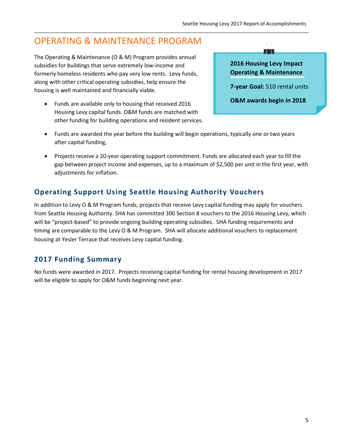## OPERATING & MAINTENANCE PROGRAM

The Operating & Maintenance (O & M) Program provides annual subsidies for buildings that serve extremely low-income and formerly homeless residents who pay very low rents. Levy funds, along with other critical operating subsidies, help ensure the housing is well maintained and financially viable.

• Funds are available only to housing that received 2016 Housing Levy capital funds. O&M funds are matched with other funding for building operations and resident services.



**7-year Goal:** 510 rental units

**O&M awards begin in 2018**

- Funds are awarded the year before the building will begin operations, typically one or two years after capital funding,
- Projects receive a 20-year operating support commitment. Funds are allocated each year to fill the gap between project income and expenses, up to a maximum of \$2,500 per unit in the first year, with adjustments for inflation.

#### **Operating Support Using Seattle Housing Authority Vouchers**

In addition to Levy O & M Program funds, projects that receive Levy capital funding may apply for vouchers from Seattle Housing Authority. SHA has committed 300 Section 8 vouchers to the 2016 Housing Levy, which will be "project-based" to provide ongoing building operating subsidies. SHA funding requirements and timing are comparable to the Levy O & M Program. SHA will allocate additional vouchers to replacement housing at Yesler Terrace that receives Levy capital funding.

#### **2017 Funding Summary**

No funds were awarded in 2017. Projects receiving capital funding for rental housing development in 2017 will be eligible to apply for O&M funds beginning next year.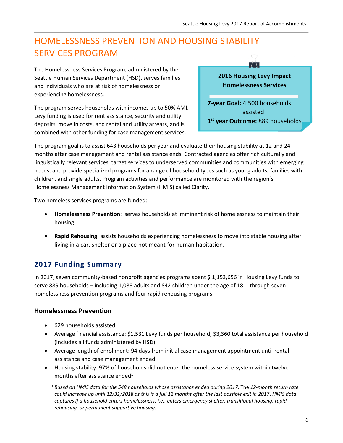## HOMELESSNESS PREVENTION AND HOUSING STABILITY SERVICES PROGRAM

The Homelessness Services Program, administered by the Seattle Human Services Department (HSD), serves families and individuals who are at risk of homelessness or experiencing homelessness.

The program serves households with incomes up to 50% AMI. Levy funding is used for rent assistance, security and utility deposits, move in costs, and rental and utility arrears, and is combined with other funding for case management services.

ń  $\left\lfloor \int_{\mathbb{R}} \right\rfloor$ **2016 Housing Levy Impact Homelessness Services 7-year Goal:** 4,500 households assisted **1 st year Outcome:** 889 households

The program goal is to assist 643 households per year and evaluate their housing stability at 12 and 24 months after case management and rental assistance ends. Contracted agencies offer rich culturally and linguistically relevant services, target services to underserved communities and communities with emerging needs, and provide specialized programs for a range of household types such as young adults, families with children, and single adults. Program activities and performance are monitored with the region's Homelessness Management Information System (HMIS) called Clarity.

Two homeless services programs are funded:

- **Homelessness Prevention**: serves households at imminent risk of homelessness to maintain their housing.
- **Rapid Rehousing**: assists households experiencing homelessness to move into stable housing after living in a car, shelter or a place not meant for human habitation.

#### **2017 Funding Summary**

In 2017, seven community-based nonprofit agencies programs spent \$ 1,153,656 in Housing Levy funds to serve 889 households – including 1,088 adults and 842 children under the age of 18 -- through seven homelessness prevention programs and four rapid rehousing programs.

#### **Homelessness Prevention**

- 629 households assisted
- Average financial assistance: \$1,531 Levy funds per household; \$3,360 total assistance per household (includes all funds administered by HSD)
- Average length of enrollment: 94 days from initial case management appointment until rental assistance and case management ended
- Housing stability: 97% of households did not enter the homeless service system within twelve months after assistance ended<sup>1</sup>

*<sup>1</sup>Based on HMIS data for the 548 households whose assistance ended during 2017.* The *12-month return rate could increase up until 12/31/2018 as this is a full 12 months after the last possible exit in 2017*. *HMIS data captures if a household enters homelessness, i.e., enters emergency shelter, transitional housing, rapid rehousing, or permanent supportive housing.*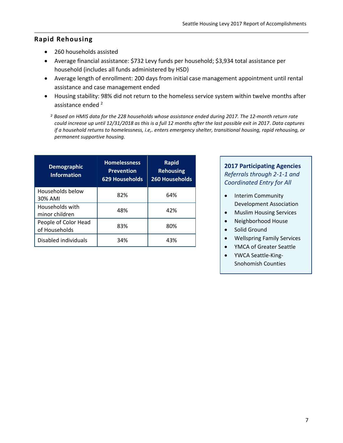#### **Rapid Rehousing**

- 260 households assisted
- Average financial assistance: \$732 Levy funds per household; \$3,934 total assistance per household (includes all funds administered by HSD)
- Average length of enrollment: 200 days from initial case management appointment until rental assistance and case management ended
- Housing stability: 98% did not return to the homeless service system within twelve months after assistance ended <sup>2</sup>

*<sup>2</sup> Based on HMIS data for the 228 households whose assistance ended during 2017. The 12-month return rate could increase up until 12/31/2018 as this is a full 12 months after the last possible exit in 2017*. *Data captures if a household returns to homelessness, i.e,. enters emergency shelter, transitional housing, rapid rehousing, or permanent supportive housing.* 

| <b>Demographic</b><br><b>Information</b> | <b>Homelessness</b><br><b>Prevention</b><br>629 Households | <b>Rapid</b><br><b>Rehousing</b><br><b>260 Households</b> |  |
|------------------------------------------|------------------------------------------------------------|-----------------------------------------------------------|--|
| Households below<br>30% AMI              | 82%                                                        | 64%                                                       |  |
| Households with<br>minor children        | 48%                                                        | 42%                                                       |  |
| People of Color Head<br>of Households    | 83%                                                        | 80%                                                       |  |
| Disabled individuals                     | 34%                                                        | 43%                                                       |  |

#### **2017 Participating Agencies** *Referrals through 2-1-1 and Coordinated Entry for All*

- Interim Community Development Association
- Muslim Housing Services
- Neighborhood House
- Solid Ground
- Wellspring Family Services
- YMCA of Greater Seattle
- YWCA Seattle-King-Snohomish Counties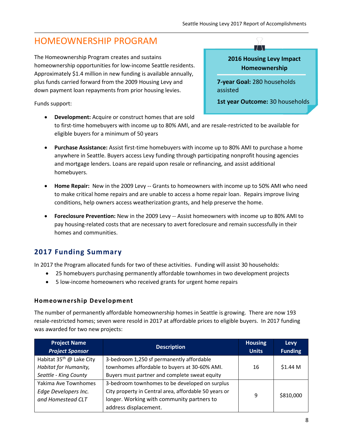## HOMEOWNERSHIP PROGRAM

The Homeownership Program creates and sustains homeownership opportunities for low-income Seattle residents. Approximately \$1.4 million in new funding is available annually, plus funds carried forward from the 2009 Housing Levy and down payment loan repayments from prior housing levies.

Funds support:

#### **2016 Housing Levy Impact Homeownership**

 $\top$  .

**7-year Goal:** 280 households assisted

**1st year Outcome:** 30 households

- **Development:** Acquire or construct homes that are sold to first-time homebuyers with income up to 80% AMI, and are resale-restricted to be available for eligible buyers for a minimum of 50 years
- **Purchase Assistance:** Assist first-time homebuyers with income up to 80% AMI to purchase a home anywhere in Seattle. Buyers access Levy funding through participating nonprofit housing agencies and mortgage lenders. Loans are repaid upon resale or refinancing, and assist additional homebuyers.
- **Home Repair:** New in the 2009 Levy -- Grants to homeowners with income up to 50% AMI who need to make critical home repairs and are unable to access a home repair loan. Repairs improve living conditions, help owners access weatherization grants, and help preserve the home.
- **Foreclosure Prevention:** New in the 2009 Levy -- Assist homeowners with income up to 80% AMI to pay housing-related costs that are necessary to avert foreclosure and remain successfully in their homes and communities.

#### **2017 Funding Summary**

In 2017 the Program allocated funds for two of these activities. Funding will assist 30 households:

- 25 homebuyers purchasing permanently affordable townhomes in two development projects
- 5 low-income homeowners who received grants for urgent home repairs

#### **Homeownership Development**

The number of permanently affordable homeownership homes in Seattle is growing. There are now 193 resale-restricted homes; seven were resold in 2017 at affordable prices to eligible buyers. In 2017 funding was awarded for two new projects:

| <b>Project Name</b><br><b>Project Sponsor</b> | <b>Description</b>                                    | <b>Housing</b><br><b>Units</b> | <b>Levy</b><br><b>Funding</b> |
|-----------------------------------------------|-------------------------------------------------------|--------------------------------|-------------------------------|
| Habitat 35 <sup>th</sup> @ Lake City          | 3-bedroom 1,250 sf permanently affordable             |                                |                               |
| Habitat for Humanity,                         | townhomes affordable to buyers at 30-60% AMI.         | 16                             | $$1.44$ M                     |
| Seattle - King County                         | Buyers must partner and complete sweat equity         |                                |                               |
| Yakima Ave Townhomes                          | 3-bedroom townhomes to be developed on surplus        |                                |                               |
| Edge Developers Inc.                          | City property in Central area, affordable 50 years or |                                |                               |
| and Homestead CLT                             | longer. Working with community partners to            |                                | \$810,000                     |
|                                               | address displacement.                                 |                                |                               |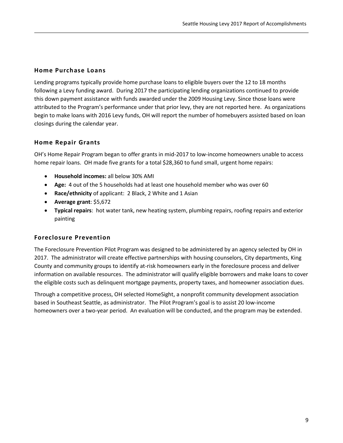#### **Home Purchase Loans**

Lending programs typically provide home purchase loans to eligible buyers over the 12 to 18 months following a Levy funding award. During 2017 the participating lending organizations continued to provide this down payment assistance with funds awarded under the 2009 Housing Levy. Since those loans were attributed to the Program's performance under that prior levy, they are not reported here. As organizations begin to make loans with 2016 Levy funds, OH will report the number of homebuyers assisted based on loan closings during the calendar year.

#### **Home Repair Grants**

OH's Home Repair Program began to offer grants in mid-2017 to low-income homeowners unable to access home repair loans. OH made five grants for a total \$28,360 to fund small, urgent home repairs:

- **Household incomes:** all below 30% AMI
- **Age:** 4 out of the 5 households had at least one household member who was over 60
- **Race/ethnicity** of applicant: 2 Black, 2 White and 1 Asian
- **Average grant**: \$5,672
- **Typical repairs**: hot water tank, new heating system, plumbing repairs, roofing repairs and exterior painting

#### **Foreclosure Prevention**

The Foreclosure Prevention Pilot Program was designed to be administered by an agency selected by OH in 2017. The administrator will create effective partnerships with housing counselors, City departments, King County and community groups to identify at-risk homeowners early in the foreclosure process and deliver information on available resources. The administrator will qualify eligible borrowers and make loans to cover the eligible costs such as delinquent mortgage payments, property taxes, and homeowner association dues.

Through a competitive process, OH selected HomeSight, a nonprofit community development association based in Southeast Seattle, as administrator. The Pilot Program's goal is to assist 20 low-income homeowners over a two-year period. An evaluation will be conducted, and the program may be extended.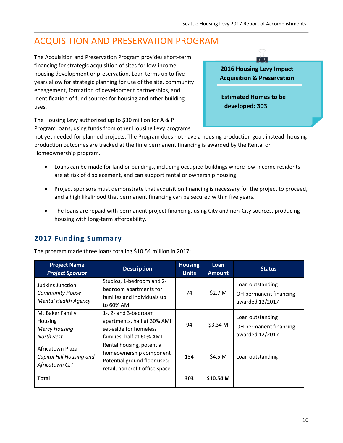## ACQUISITION AND PRESERVATION PROGRAM

The Acquisition and Preservation Program provides short-term financing for strategic acquisition of sites for low-income housing development or preservation. Loan terms up to five years allow for strategic planning for use of the site, community engagement, formation of development partnerships, and identification of fund sources for housing and other building uses.



The Housing Levy authorized up to \$30 million for A & P Program loans, using funds from other Housing Levy programs

not yet needed for planned projects. The Program does not have a housing production goal; instead, housing production outcomes are tracked at the time permanent financing is awarded by the Rental or Homeownership program.

- Loans can be made for land or buildings, including occupied buildings where low-income residents are at risk of displacement, and can support rental or ownership housing.
- Project sponsors must demonstrate that acquisition financing is necessary for the project to proceed, and a high likelihood that permanent financing can be secured within five years.
- The loans are repaid with permanent project financing, using City and non-City sources, producing housing with long-term affordability.

#### **2017 Funding Summary**

The program made three loans totaling \$10.54 million in 2017:

| <b>Project Name</b><br><b>Project Sponsor</b>                                 | <b>Description</b>                                                                                                     | <b>Housing</b><br><b>Units</b> | Loan<br><b>Amount</b> | <b>Status</b>                                                 |
|-------------------------------------------------------------------------------|------------------------------------------------------------------------------------------------------------------------|--------------------------------|-----------------------|---------------------------------------------------------------|
| Judkins Junction<br><b>Community House</b><br><b>Mental Health Agency</b>     | Studios, 1-bedroom and 2-<br>bedroom apartments for<br>families and individuals up<br>to 60% AMI                       | 74                             | \$2.7 M               | Loan outstanding<br>OH permanent financing<br>awarded 12/2017 |
| Mt Baker Family<br><b>Housing</b><br><b>Mercy Housing</b><br><b>Northwest</b> | 1-, 2- and 3-bedroom<br>apartments, half at 30% AMI<br>set-aside for homeless<br>families, half at 60% AMI             | 94                             | \$3.34 M              | Loan outstanding<br>OH permanent financing<br>awarded 12/2017 |
| Africatown Plaza<br>Capitol Hill Housing and<br>Africatown CLT                | Rental housing, potential<br>homeownership component<br>Potential ground floor uses:<br>retail, nonprofit office space | 134                            | \$4.5 M               | Loan outstanding                                              |
| <b>Total</b>                                                                  |                                                                                                                        | 303                            | \$10.54 <sub>M</sub>  |                                                               |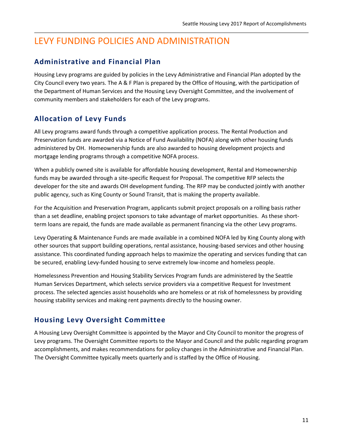## LEVY FUNDING POLICIES AND ADMINISTRATION

#### **Administrative and Financial Plan**

Housing Levy programs are guided by policies in the Levy Administrative and Financial Plan adopted by the City Council every two years. The A & F Plan is prepared by the Office of Housing, with the participation of the Department of Human Services and the Housing Levy Oversight Committee, and the involvement of community members and stakeholders for each of the Levy programs.

#### **Allocation of Levy Funds**

All Levy programs award funds through a competitive application process. The Rental Production and Preservation funds are awarded via a Notice of Fund Availability (NOFA) along with other housing funds administered by OH. Homeownership funds are also awarded to housing development projects and mortgage lending programs through a competitive NOFA process.

When a publicly owned site is available for affordable housing development, Rental and Homeownership funds may be awarded through a site-specific Request for Proposal. The competitive RFP selects the developer for the site and awards OH development funding. The RFP may be conducted jointly with another public agency, such as King County or Sound Transit, that is making the property available.

For the Acquisition and Preservation Program, applicants submit project proposals on a rolling basis rather than a set deadline, enabling project sponsors to take advantage of market opportunities. As these shortterm loans are repaid, the funds are made available as permanent financing via the other Levy programs.

Levy Operating & Maintenance Funds are made available in a combined NOFA led by King County along with other sources that support building operations, rental assistance, housing-based services and other housing assistance. This coordinated funding approach helps to maximize the operating and services funding that can be secured, enabling Levy-funded housing to serve extremely low-income and homeless people.

Homelessness Prevention and Housing Stability Services Program funds are administered by the Seattle Human Services Department, which selects service providers via a competitive Request for Investment process. The selected agencies assist households who are homeless or at risk of homelessness by providing housing stability services and making rent payments directly to the housing owner.

#### **Housing Levy Oversight Committee**

A Housing Levy Oversight Committee is appointed by the Mayor and City Council to monitor the progress of Levy programs. The Oversight Committee reports to the Mayor and Council and the public regarding program accomplishments, and makes recommendations for policy changes in the Administrative and Financial Plan. The Oversight Committee typically meets quarterly and is staffed by the Office of Housing.